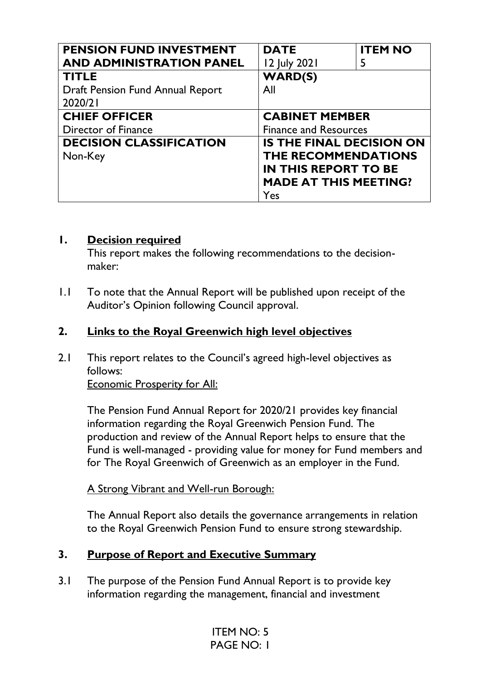| <b>PENSION FUND INVESTMENT</b>   | <b>DATE</b>                     | <b>ITEM NO</b> |
|----------------------------------|---------------------------------|----------------|
| <b>AND ADMINISTRATION PANEL</b>  | 12 July 2021                    | 5              |
| <b>TITLE</b>                     | <b>WARD(S)</b>                  |                |
| Draft Pension Fund Annual Report | All                             |                |
| 2020/21                          |                                 |                |
| <b>CHIEF OFFICER</b>             | <b>CABINET MEMBER</b>           |                |
| Director of Finance              | <b>Finance and Resources</b>    |                |
| <b>DECISION CLASSIFICATION</b>   | <b>IS THE FINAL DECISION ON</b> |                |
| Non-Key                          | <b>THE RECOMMENDATIONS</b>      |                |
|                                  | <b>IN THIS REPORT TO BE</b>     |                |
|                                  | <b>MADE AT THIS MEETING?</b>    |                |
|                                  | Yes                             |                |

#### **1. Decision required**

This report makes the following recommendations to the decisionmaker:

1.1 To note that the Annual Report will be published upon receipt of the Auditor's Opinion following Council approval.

## **2. Links to the Royal Greenwich high level objectives**

2.1 This report relates to the Council's agreed high-level objectives as follows:

Economic Prosperity for All:

The Pension Fund Annual Report for 2020/21 provides key financial information regarding the Royal Greenwich Pension Fund. The production and review of the Annual Report helps to ensure that the Fund is well-managed - providing value for money for Fund members and for The Royal Greenwich of Greenwich as an employer in the Fund.

A Strong Vibrant and Well-run Borough:

The Annual Report also details the governance arrangements in relation to the Royal Greenwich Pension Fund to ensure strong stewardship.

# **3. Purpose of Report and Executive Summary**

3.1 The purpose of the Pension Fund Annual Report is to provide key information regarding the management, financial and investment

> ITEM NO: 5 PAGE NO: 1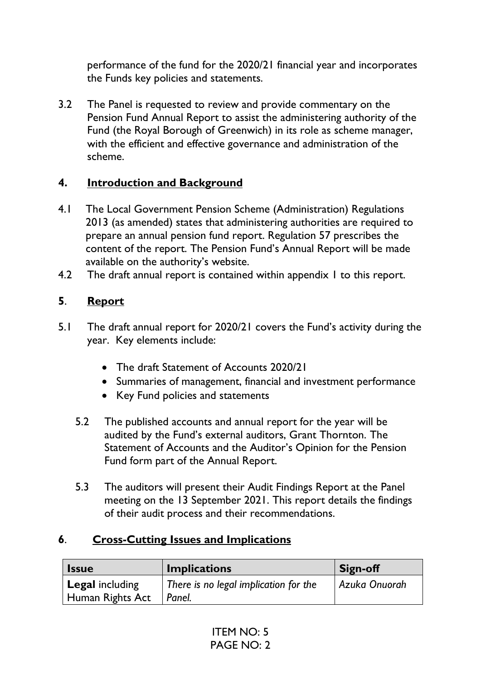performance of the fund for the 2020/21 financial year and incorporates the Funds key policies and statements.

3.2 The Panel is requested to review and provide commentary on the Pension Fund Annual Report to assist the administering authority of the Fund (the Royal Borough of Greenwich) in its role as scheme manager, with the efficient and effective governance and administration of the scheme.

## **4. Introduction and Background**

- 4.1 The Local Government Pension Scheme (Administration) Regulations 2013 (as amended) states that administering authorities are required to prepare an annual pension fund report. Regulation 57 prescribes the content of the report. The Pension Fund's Annual Report will be made available on the authority's website.
- 4.2 The draft annual report is contained within appendix I to this report.

# **5**. **Report**

- 5.1 The draft annual report for 2020/21 covers the Fund's activity during the year. Key elements include:
	- The draft Statement of Accounts 2020/21
	- Summaries of management, financial and investment performance
	- Key Fund policies and statements
	- 5.2 The published accounts and annual report for the year will be audited by the Fund's external auditors, Grant Thornton. The Statement of Accounts and the Auditor's Opinion for the Pension Fund form part of the Annual Report.
	- 5.3 The auditors will present their Audit Findings Report at the Panel meeting on the 13 September 2021. This report details the findings of their audit process and their recommendations.

### **6**. **Cross-Cutting Issues and Implications**

| <b>Issue</b>           | <b>Implications</b>                   | <b>Sign-off</b> |
|------------------------|---------------------------------------|-----------------|
| <b>Legal including</b> | There is no legal implication for the | Azuka Onuorah   |
| Human Rights Act       | Panel.                                |                 |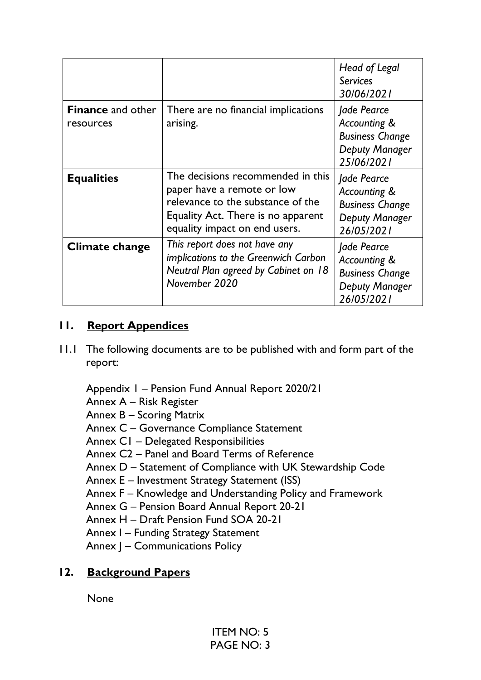|                                       |                                                                                                                                                                             | Head of Legal<br><b>Services</b>                                                             |
|---------------------------------------|-----------------------------------------------------------------------------------------------------------------------------------------------------------------------------|----------------------------------------------------------------------------------------------|
|                                       |                                                                                                                                                                             | 30/06/2021                                                                                   |
| <b>Finance</b> and other<br>resources | There are no financial implications<br>arising.                                                                                                                             | Jade Pearce<br>Accounting &<br><b>Business Change</b><br>Deputy Manager<br>25/06/2021        |
| <b>Equalities</b>                     | The decisions recommended in this<br>paper have a remote or low<br>relevance to the substance of the<br>Equality Act. There is no apparent<br>equality impact on end users. | Jade Pearce<br>Accounting &<br><b>Business Change</b><br><b>Deputy Manager</b><br>26/05/2021 |
| Climate change                        | This report does not have any<br>implications to the Greenwich Carbon<br>Neutral Plan agreed by Cabinet on 18<br>November 2020                                              | Jade Pearce<br>Accounting &<br><b>Business Change</b><br>Deputy Manager<br>26/05/2021        |

## **11. Report Appendices**

11.1 The following documents are to be published with and form part of the report:

Appendix 1 – Pension Fund Annual Report 2020/21

- Annex A Risk Register
- Annex B Scoring Matrix
- Annex C Governance Compliance Statement
- Annex C1 Delegated Responsibilities
- Annex C2 Panel and Board Terms of Reference
- Annex D Statement of Compliance with UK Stewardship Code
- Annex E Investment Strategy Statement (ISS)
- Annex F Knowledge and Understanding Policy and Framework
- Annex G Pension Board Annual Report 20-21
- Annex H Draft Pension Fund SOA 20-21
- Annex I Funding Strategy Statement
- Annex J Communications Policy

### **12. Background Papers**

None